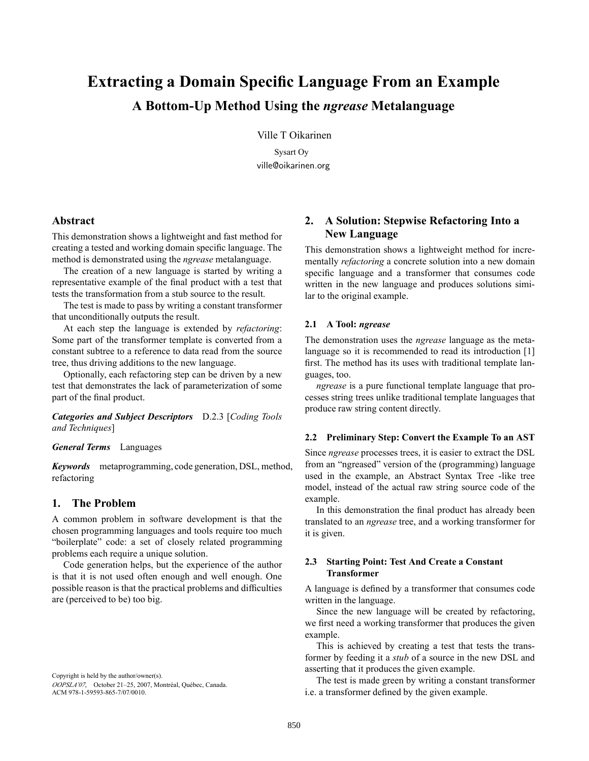# **Extracting a Domain Specific Language From an Example A Bottom-Up Method Using the** *ngrease* **Metalanguage**

Ville T Oikarinen

Sysart Oy ville@oikarinen.org

# **Abstract**

This demonstration shows a lightweight and fast method for creating a tested and working domain specific language. The method is demonstrated using the *ngrease* metalanguage.

The creation of a new language is started by writing a representative example of the final product with a test that tests the transformation from a stub source to the result.

The test is made to pass by writing a constant transformer that unconditionally outputs the result.

At each step the language is extended by *refactoring*: Some part of the transformer template is converted from a constant subtree to a reference to data read from the source tree, thus driving additions to the new language.

Optionally, each refactoring step can be driven by a new test that demonstrates the lack of parameterization of some part of the final product.

*Categories and Subject Descriptors* D.2.3 [*Coding Tools and Techniques*]

# *General Terms* Languages

*Keywords* metaprogramming, code generation, DSL, method, refactoring

# **1. The Problem**

A common problem in software development is that the chosen programming languages and tools require too much "boilerplate" code: a set of closely related programming problems each require a unique solution.

Code generation helps, but the experience of the author is that it is not used often enough and well enough. One possible reason is that the practical problems and difficulties are (perceived to be) too big.

Copyright is held by the author/owner(s). OOPSLA'07, October 21-25, 2007, Montréal, Québec, Canada. ACM 978-1-59593-865-7/07/0010.

# **2. A Solution: Stepwise Refactoring Into a New Language**

This demonstration shows a lightweight method for incrementally *refactoring* a concrete solution into a new domain specific language and a transformer that consumes code written in the new language and produces solutions similar to the original example.

### **2.1 A Tool:** *ngrease*

The demonstration uses the *ngrease* language as the metalanguage so it is recommended to read its introduction [1] first. The method has its uses with traditional template languages, too.

*ngrease* is a pure functional template language that processes string trees unlike traditional template languages that produce raw string content directly.

#### **2.2 Preliminary Step: Convert the Example To an AST**

Since *ngrease* processes trees, it is easier to extract the DSL from an "ngreased" version of the (programming) language used in the example, an Abstract Syntax Tree -like tree model, instead of the actual raw string source code of the example.

In this demonstration the final product has already been translated to an *ngrease* tree, and a working transformer for it is given.

## **2.3 Starting Point: Test And Create a Constant Transformer**

A language is defined by a transformer that consumes code written in the language.

Since the new language will be created by refactoring, we first need a working transformer that produces the given example.

This is achieved by creating a test that tests the transformer by feeding it a *stub* of a source in the new DSL and asserting that it produces the given example.

The test is made green by writing a constant transformer i.e. a transformer defined by the given example.